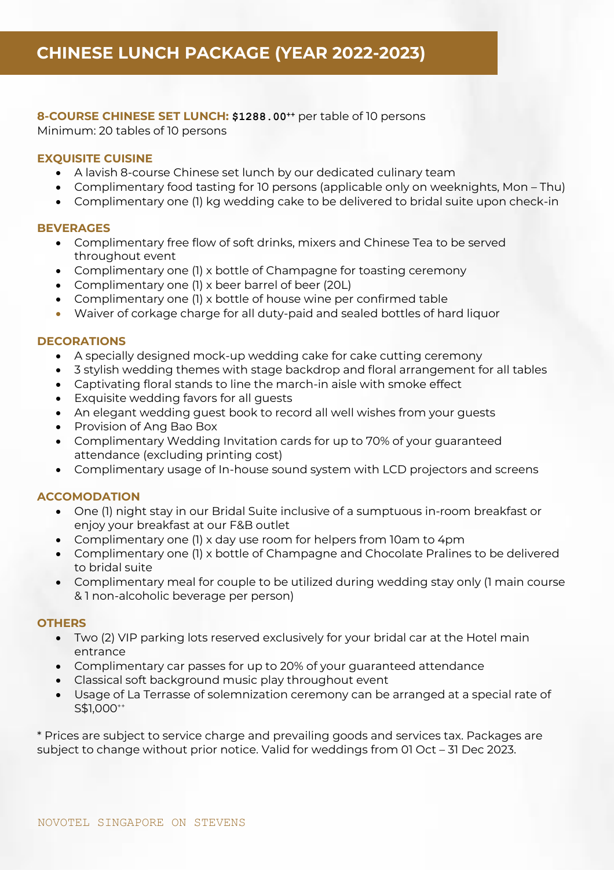**8-COURSE CHINESE SET LUNCH: \$1288.00 ++** per table of 10 persons Minimum: 20 tables of 10 persons

### **EXQUISITE CUISINE**

- A lavish 8-course Chinese set lunch by our dedicated culinary team
- Complimentary food tasting for 10 persons (applicable only on weeknights, Mon Thu)
- Complimentary one (1) kg wedding cake to be delivered to bridal suite upon check-in

### **BEVERAGES**

- Complimentary free flow of soft drinks, mixers and Chinese Tea to be served throughout event
- Complimentary one (1) x bottle of Champagne for toasting ceremony
- Complimentary one (1) x beer barrel of beer (20L)
- Complimentary one (1) x bottle of house wine per confirmed table
- Waiver of corkage charge for all duty-paid and sealed bottles of hard liquor

### **DECORATIONS**

- A specially designed mock-up wedding cake for cake cutting ceremony
- 3 stylish wedding themes with stage backdrop and floral arrangement for all tables
- Captivating floral stands to line the march-in aisle with smoke effect
- Exquisite wedding favors for all guests
- An elegant wedding guest book to record all well wishes from your guests
- Provision of Ang Bao Box
- Complimentary Wedding Invitation cards for up to 70% of your guaranteed attendance (excluding printing cost)
- Complimentary usage of In-house sound system with LCD projectors and screens

# **ACCOMODATION**

- One (1) night stay in our Bridal Suite inclusive of a sumptuous in-room breakfast or enjoy your breakfast at our F&B outlet
- Complimentary one (1) x day use room for helpers from 10am to 4pm
- Complimentary one (1) x bottle of Champagne and Chocolate Pralines to be delivered to bridal suite
- Complimentary meal for couple to be utilized during wedding stay only (1 main course & 1 non-alcoholic beverage per person)

#### **OTHERS**

- Two (2) VIP parking lots reserved exclusively for your bridal car at the Hotel main entrance
- Complimentary car passes for up to 20% of your guaranteed attendance
- Classical soft background music play throughout event
- Usage of La Terrasse of solemnization ceremony can be arranged at a special rate of S\$1,000<sup>++</sup>

\* Prices are subject to service charge and prevailing goods and services tax. Packages are subject to change without prior notice. Valid for weddings from 01 Oct – 31 Dec 2023.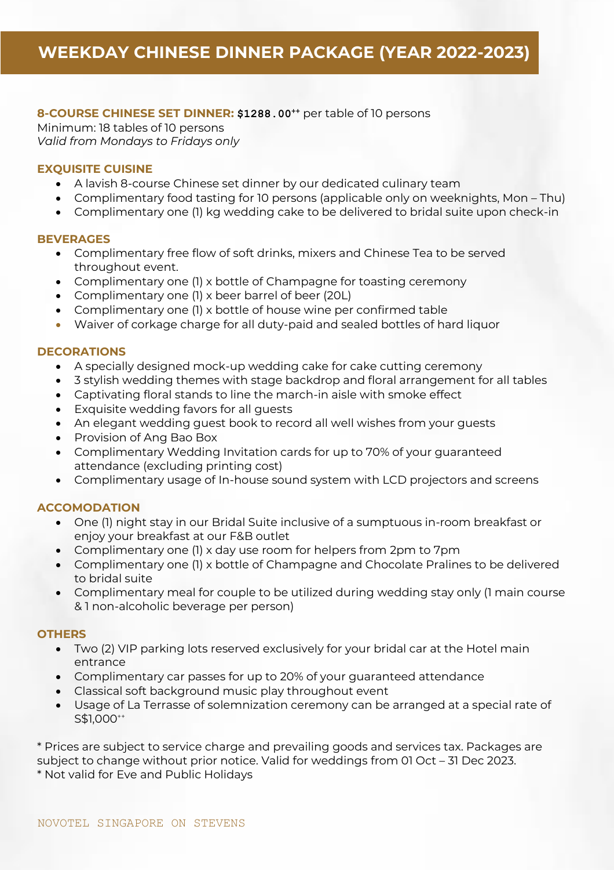# **8-COURSE CHINESE SET DINNER: \$1288.00<sup>++</sup> per table of 10 persons**

Minimum: 18 tables of 10 persons *Valid from Mondays to Fridays only*

# **EXQUISITE CUISINE**

- A lavish 8-course Chinese set dinner by our dedicated culinary team
- Complimentary food tasting for 10 persons (applicable only on weeknights, Mon Thu)
- Complimentary one (1) kg wedding cake to be delivered to bridal suite upon check-in

### **BEVERAGES**

- Complimentary free flow of soft drinks, mixers and Chinese Tea to be served throughout event.
- Complimentary one (1) x bottle of Champagne for toasting ceremony
- Complimentary one (1) x beer barrel of beer (20L)
- Complimentary one (1) x bottle of house wine per confirmed table
- Waiver of corkage charge for all duty-paid and sealed bottles of hard liquor

### **DECORATIONS**

- A specially designed mock-up wedding cake for cake cutting ceremony
- 3 stylish wedding themes with stage backdrop and floral arrangement for all tables
- Captivating floral stands to line the march-in aisle with smoke effect
- Exquisite wedding favors for all guests
- An elegant wedding guest book to record all well wishes from your guests
- Provision of Ang Bao Box
- Complimentary Wedding Invitation cards for up to 70% of your guaranteed attendance (excluding printing cost)
- Complimentary usage of In-house sound system with LCD projectors and screens

### **ACCOMODATION**

- One (1) night stay in our Bridal Suite inclusive of a sumptuous in-room breakfast or enjoy your breakfast at our F&B outlet
- Complimentary one (1) x day use room for helpers from 2pm to 7pm
- Complimentary one (1) x bottle of Champagne and Chocolate Pralines to be delivered to bridal suite
- Complimentary meal for couple to be utilized during wedding stay only (1 main course & 1 non-alcoholic beverage per person)

### **OTHERS**

- Two (2) VIP parking lots reserved exclusively for your bridal car at the Hotel main entrance
- Complimentary car passes for up to 20% of your guaranteed attendance
- Classical soft background music play throughout event
- Usage of La Terrasse of solemnization ceremony can be arranged at a special rate of S\$1,000<sup>++</sup>

\* Prices are subject to service charge and prevailing goods and services tax. Packages are subject to change without prior notice. Valid for weddings from 01 Oct – 31 Dec 2023. \* Not valid for Eve and Public Holidays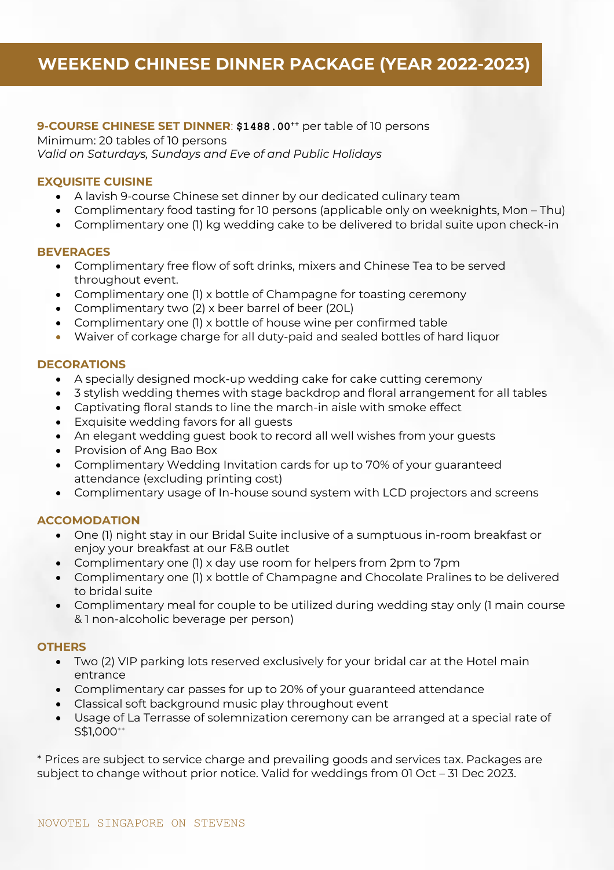# **9-COURSE CHINESE SET DINNER**: **\$1488.00++** per table of 10 persons

Minimum: 20 tables of 10 persons *Valid on Saturdays, Sundays and Eve of and Public Holidays*

### **EXQUISITE CUISINE**

- A lavish 9-course Chinese set dinner by our dedicated culinary team
- Complimentary food tasting for 10 persons (applicable only on weeknights, Mon Thu)
- Complimentary one (1) kg wedding cake to be delivered to bridal suite upon check-in

### **BEVERAGES**

- Complimentary free flow of soft drinks, mixers and Chinese Tea to be served throughout event.
- Complimentary one (1) x bottle of Champagne for toasting ceremony
- Complimentary two (2) x beer barrel of beer (20L)
- Complimentary one (1) x bottle of house wine per confirmed table
- Waiver of corkage charge for all duty-paid and sealed bottles of hard liquor

# **DECORATIONS**

- A specially designed mock-up wedding cake for cake cutting ceremony
- 3 stylish wedding themes with stage backdrop and floral arrangement for all tables
- Captivating floral stands to line the march-in aisle with smoke effect
- Exquisite wedding favors for all guests
- An elegant wedding guest book to record all well wishes from your guests
- Provision of Ang Bao Box
- Complimentary Wedding Invitation cards for up to 70% of your guaranteed attendance (excluding printing cost)
- Complimentary usage of In-house sound system with LCD projectors and screens

# **ACCOMODATION**

- One (1) night stay in our Bridal Suite inclusive of a sumptuous in-room breakfast or enjoy your breakfast at our F&B outlet
- Complimentary one (1) x day use room for helpers from 2pm to 7pm
- Complimentary one (1) x bottle of Champagne and Chocolate Pralines to be delivered to bridal suite
- Complimentary meal for couple to be utilized during wedding stay only (1 main course & 1 non-alcoholic beverage per person)

# **OTHERS**

- Two (2) VIP parking lots reserved exclusively for your bridal car at the Hotel main entrance
- Complimentary car passes for up to 20% of your guaranteed attendance
- Classical soft background music play throughout event
- Usage of La Terrasse of solemnization ceremony can be arranged at a special rate of S\$1,000<sup>++</sup>

\* Prices are subject to service charge and prevailing goods and services tax. Packages are subject to change without prior notice. Valid for weddings from 01 Oct – 31 Dec 2023.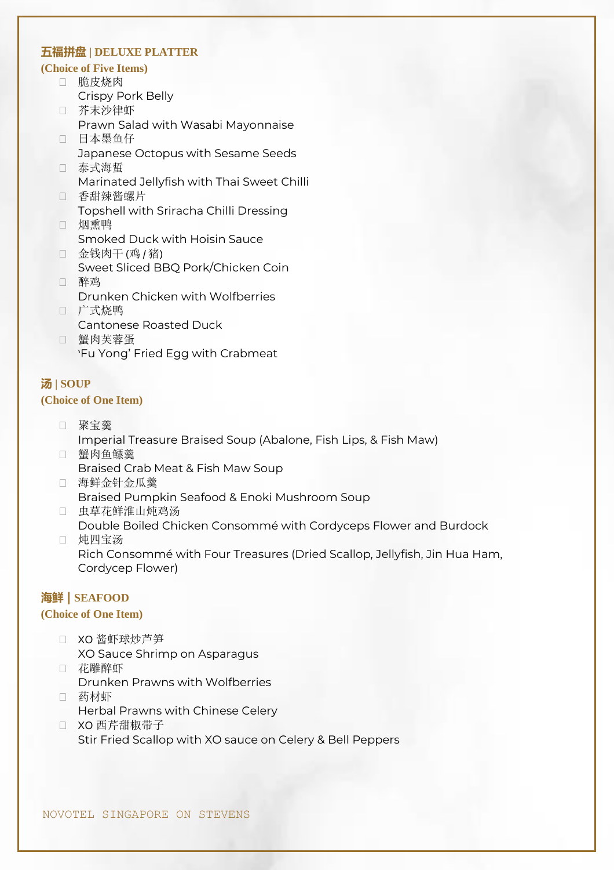# **五福拼盘 | DELUXE PLATTER**

#### **(Choice of Five Items)**

- 脆皮烧肉
	- Crispy Pork Belly
- 芥末沙律虾 Prawn Salad with Wasabi Mayonnaise 日本墨鱼仔
- Japanese Octopus with Sesame Seeds □ 泰式海蜇
- Marinated Jellyfish with Thai Sweet Chilli
- 香甜辣酱螺片 Topshell with Sriracha Chilli Dressing
- 口 烟熏鸭 Smoked Duck with Hoisin Sauce
- □ 金钱肉干 (鸡 / 猪) Sweet Sliced BBQ Pork/Chicken Coin 醉鸡
- Drunken Chicken with Wolfberries □ 广式烧鸭
- Cantonese Roasted Duck
- 蟹肉芙蓉蛋 'Fu Yong' Fried Egg with Crabmeat

### **汤 | SOUP (Choice of One Item)**

- 聚宝羹 Imperial Treasure Braised Soup (Abalone, Fish Lips, & Fish Maw)
- 蟹肉鱼鳔羹 Braised Crab Meat & Fish Maw Soup
- 海鲜金针金瓜羹 Braised Pumpkin Seafood & Enoki Mushroom Soup
- 虫草花鲜淮山炖鸡汤
	- Double Boiled Chicken Consommé with Cordyceps Flower and Burdock
- □ 炖四宝汤

Rich Consommé with Four Treasures (Dried Scallop, Jellyfish, Jin Hua Ham, Cordycep Flower)

# **海鲜 | SEAFOOD**

### **(Choice of One Item)**

- □ XO 酱虾球炒芦笋 XO Sauce Shrimp on Asparagus
- □ 花雕醉虾 Drunken Prawns with Wolfberries
- □ 药材虾 Herbal Prawns with Chinese Celery
- □ XO 西芹甜椒带子 Stir Fried Scallop with XO sauce on Celery & Bell Peppers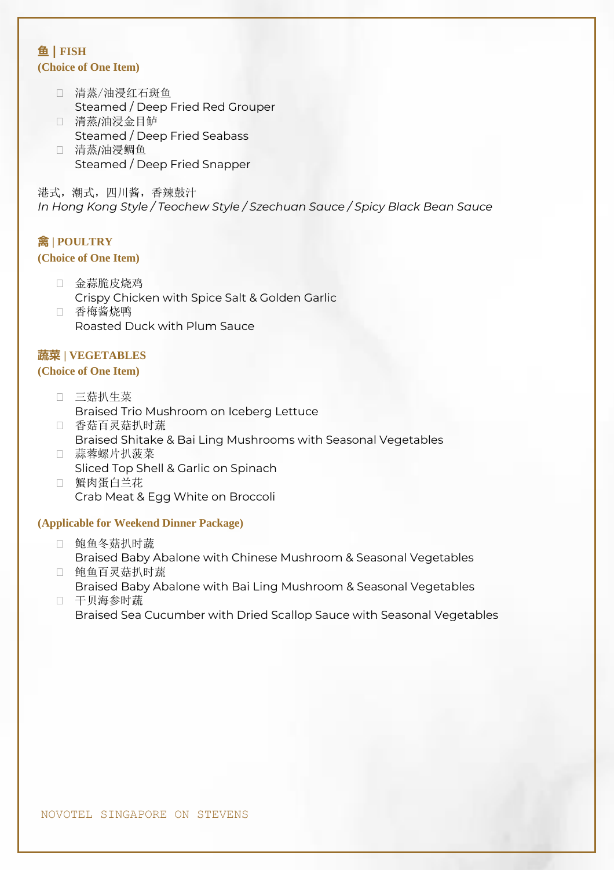# **鱼 | FISH (Choice of One Item)**

- 清蒸/油浸红石斑鱼 Steamed / Deep Fried Red Grouper 清蒸/油浸金目鲈
- Steamed / Deep Fried Seabass
- 清蒸/油浸鲷鱼 Steamed / Deep Fried Snapper

港式,潮式,四川酱,香辣鼓汁 *In Hong Kong Style / Teochew Style / Szechuan Sauce / Spicy Black Bean Sauce*

# **禽 | POULTRY**

# **(Choice of One Item)**

- □ 金蒜脆皮烧鸡 Crispy Chicken with Spice Salt & Golden Garlic
- □ 香梅酱烧鸭 Roasted Duck with Plum Sauce

# **蔬菜 | VEGETABLES**

### **(Choice of One Item)**

- 三菇扒生菜 Braised Trio Mushroom on Iceberg Lettuce
- 香菇百灵菇扒时蔬 Braised Shitake & Bai Ling Mushrooms with Seasonal Vegetables 蒜蓉螺片扒菠菜
- Sliced Top Shell & Garlic on Spinach 蟹肉蛋白兰花
	- Crab Meat & Egg White on Broccoli

### **(Applicable for Weekend Dinner Package)**

- 鲍鱼冬菇扒时蔬 Braised Baby Abalone with Chinese Mushroom & Seasonal Vegetables
- 鲍鱼百灵菇扒时蔬 Braised Baby Abalone with Bai Ling Mushroom & Seasonal Vegetables
- 干贝海参时蔬 Braised Sea Cucumber with Dried Scallop Sauce with Seasonal Vegetables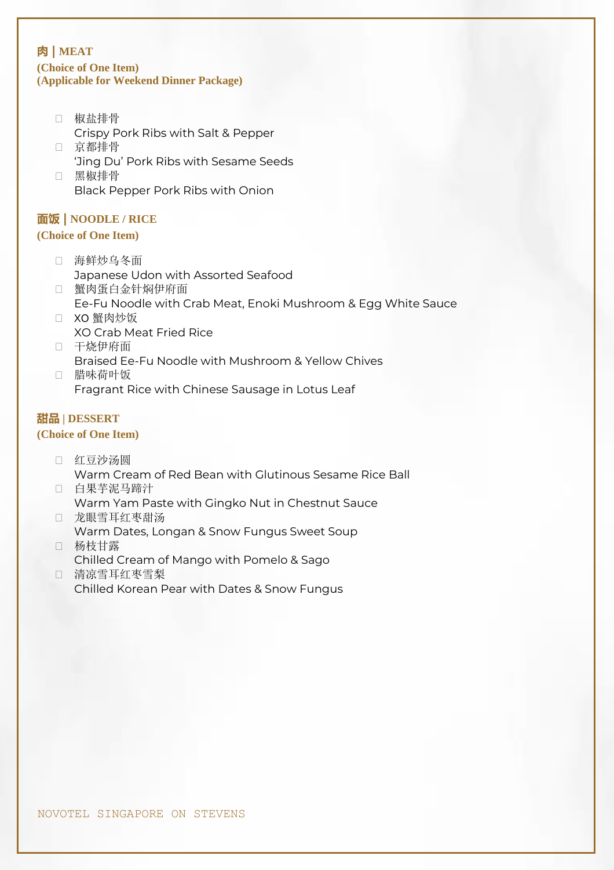# **肉** | MEAT **(Choice of One Item) (Applicable for Weekend Dinner Package)**

- 椒盐排骨
- Crispy Pork Ribs with Salt & Pepper 京都排骨
- 'Jing Du' Pork Ribs with Sesame Seeds 黑椒排骨

Black Pepper Pork Ribs with Onion

# **面饭 | NOODLE / RICE**

# **(Choice of One Item)**

- 海鲜炒乌冬面 Japanese Udon with Assorted Seafood
- 蟹肉蛋白金针焖伊府面 Ee-Fu Noodle with Crab Meat, Enoki Mushroom & Egg White Sauce
- □ XO 蟹肉炒饭 XO Crab Meat Fried Rice
- □ 干烧伊府面 Braised Ee-Fu Noodle with Mushroom & Yellow Chives 腊味荷叶饭
	- Fragrant Rice with Chinese Sausage in Lotus Leaf

# **甜品 | DESSERT**

# **(Choice of One Item)**

- 口 红豆沙汤圆 Warm Cream of Red Bean with Glutinous Sesame Rice Ball
- 白果芋泥马蹄汁 Warm Yam Paste with Gingko Nut in Chestnut Sauce
- 龙眼雪耳红枣甜汤 Warm Dates, Longan & Snow Fungus Sweet Soup
- 杨枝甘露 Chilled Cream of Mango with Pomelo & Sago 清凉雪耳红枣雪梨
	- Chilled Korean Pear with Dates & Snow Fungus